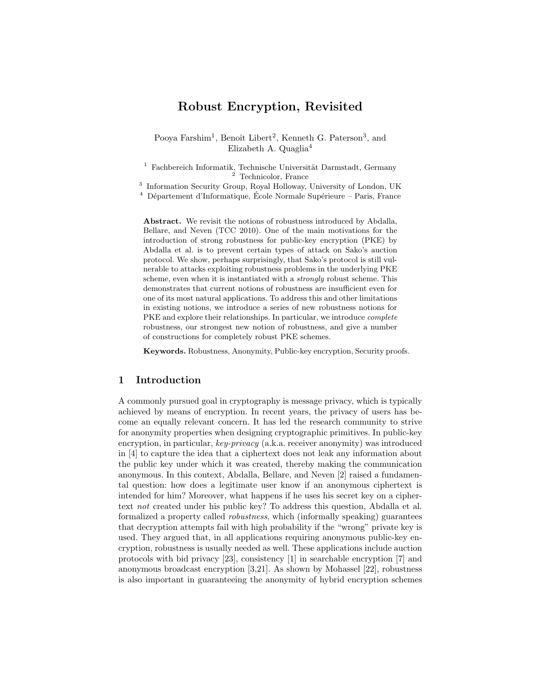# Robust Encryption, Revisited

Pooya Farshim<sup>1</sup>, Benoît Libert<sup>2</sup>, Kenneth G. Paterson<sup>3</sup>, and Elizabeth A. Quaglia<sup>4</sup>

 $1$  Fachbereich Informatik, Technische Universität Darmstadt, Germany <sup>2</sup> Technicolor, France

<sup>3</sup> Information Security Group, Royal Holloway, University of London, UK

 $4$  Département d'Informatique, École Normale Supérieure – Paris, France

Abstract. We revisit the notions of robustness introduced by Abdalla, Bellare, and Neven (TCC 2010). One of the main motivations for the introduction of strong robustness for public-key encryption (PKE) by Abdalla et al. is to prevent certain types of attack on Sako's auction protocol. We show, perhaps surprisingly, that Sako's protocol is still vulnerable to attacks exploiting robustness problems in the underlying PKE scheme, even when it is instantiated with a strongly robust scheme. This demonstrates that current notions of robustness are insufficient even for one of its most natural applications. To address this and other limitations in existing notions, we introduce a series of new robustness notions for PKE and explore their relationships. In particular, we introduce *complete* robustness, our strongest new notion of robustness, and give a number of constructions for completely robust PKE schemes.

Keywords. Robustness, Anonymity, Public-key encryption, Security proofs.

### 1 Introduction

A commonly pursued goal in cryptography is message privacy, which is typically achieved by means of encryption. In recent years, the privacy of users has become an equally relevant concern. It has led the research community to strive for anonymity properties when designing cryptographic primitives. In public-key encryption, in particular, key-privacy (a.k.a. receiver anonymity) was introduced in [4] to capture the idea that a ciphertext does not leak any information about the public key under which it was created, thereby making the communication anonymous. In this context, Abdalla, Bellare, and Neven [2] raised a fundamental question: how does a legitimate user know if an anonymous ciphertext is intended for him? Moreover, what happens if he uses his secret key on a ciphertext not created under his public key? To address this question, Abdalla et al. formalized a property called robustness, which (informally speaking) guarantees that decryption attempts fail with high probability if the "wrong" private key is used. They argued that, in all applications requiring anonymous public-key encryption, robustness is usually needed as well. These applications include auction protocols with bid privacy [23], consistency [1] in searchable encryption [7] and anonymous broadcast encryption [3,21]. As shown by Mohassel [22], robustness is also important in guaranteeing the anonymity of hybrid encryption schemes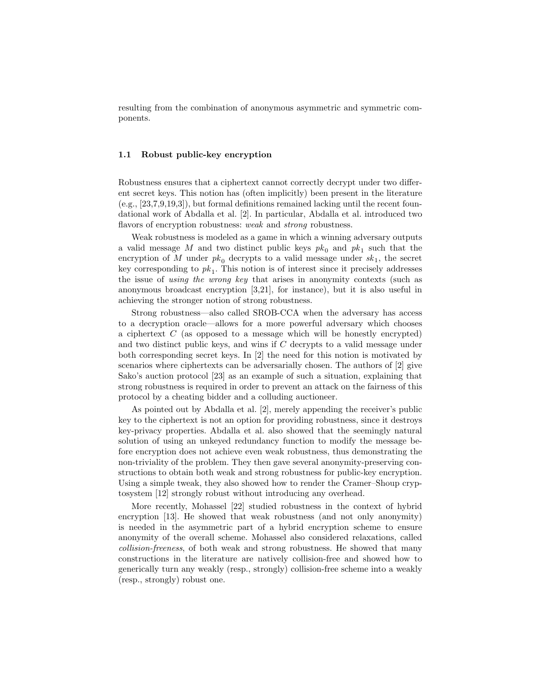resulting from the combination of anonymous asymmetric and symmetric components.

### 1.1 Robust public-key encryption

Robustness ensures that a ciphertext cannot correctly decrypt under two different secret keys. This notion has (often implicitly) been present in the literature (e.g., [23,7,9,19,3]), but formal definitions remained lacking until the recent foundational work of Abdalla et al. [2]. In particular, Abdalla et al. introduced two flavors of encryption robustness: weak and *strong* robustness.

Weak robustness is modeled as a game in which a winning adversary outputs a valid message M and two distinct public keys  $pk_0$  and  $pk_1$  such that the encryption of M under  $pk_0$  decrypts to a valid message under  $sk_1$ , the secret key corresponding to  $pk_1$ . This notion is of interest since it precisely addresses the issue of using the wrong key that arises in anonymity contexts (such as anonymous broadcast encryption [3,21], for instance), but it is also useful in achieving the stronger notion of strong robustness.

Strong robustness—also called SROB-CCA when the adversary has access to a decryption oracle—allows for a more powerful adversary which chooses a ciphertext  $C$  (as opposed to a message which will be honestly encrypted) and two distinct public keys, and wins if C decrypts to a valid message under both corresponding secret keys. In [2] the need for this notion is motivated by scenarios where ciphertexts can be adversarially chosen. The authors of [2] give Sako's auction protocol [23] as an example of such a situation, explaining that strong robustness is required in order to prevent an attack on the fairness of this protocol by a cheating bidder and a colluding auctioneer.

As pointed out by Abdalla et al. [2], merely appending the receiver's public key to the ciphertext is not an option for providing robustness, since it destroys key-privacy properties. Abdalla et al. also showed that the seemingly natural solution of using an unkeyed redundancy function to modify the message before encryption does not achieve even weak robustness, thus demonstrating the non-triviality of the problem. They then gave several anonymity-preserving constructions to obtain both weak and strong robustness for public-key encryption. Using a simple tweak, they also showed how to render the Cramer–Shoup cryptosystem [12] strongly robust without introducing any overhead.

More recently, Mohassel [22] studied robustness in the context of hybrid encryption [13]. He showed that weak robustness (and not only anonymity) is needed in the asymmetric part of a hybrid encryption scheme to ensure anonymity of the overall scheme. Mohassel also considered relaxations, called collision-freeness, of both weak and strong robustness. He showed that many constructions in the literature are natively collision-free and showed how to generically turn any weakly (resp., strongly) collision-free scheme into a weakly (resp., strongly) robust one.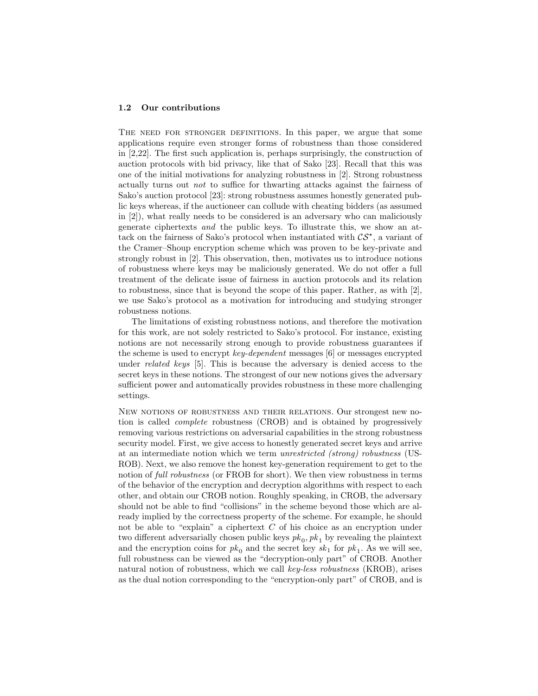#### 1.2 Our contributions

THE NEED FOR STRONGER DEFINITIONS. In this paper, we argue that some applications require even stronger forms of robustness than those considered in [2,22]. The first such application is, perhaps surprisingly, the construction of auction protocols with bid privacy, like that of Sako [23]. Recall that this was one of the initial motivations for analyzing robustness in [2]. Strong robustness actually turns out not to suffice for thwarting attacks against the fairness of Sako's auction protocol [23]: strong robustness assumes honestly generated public keys whereas, if the auctioneer can collude with cheating bidders (as assumed in [2]), what really needs to be considered is an adversary who can maliciously generate ciphertexts and the public keys. To illustrate this, we show an attack on the fairness of Sako's protocol when instantiated with  $\mathcal{CS}^*$ , a variant of the Cramer–Shoup encryption scheme which was proven to be key-private and strongly robust in [2]. This observation, then, motivates us to introduce notions of robustness where keys may be maliciously generated. We do not offer a full treatment of the delicate issue of fairness in auction protocols and its relation to robustness, since that is beyond the scope of this paper. Rather, as with [2], we use Sako's protocol as a motivation for introducing and studying stronger robustness notions.

The limitations of existing robustness notions, and therefore the motivation for this work, are not solely restricted to Sako's protocol. For instance, existing notions are not necessarily strong enough to provide robustness guarantees if the scheme is used to encrypt key-dependent messages [6] or messages encrypted under *related keys* [5]. This is because the adversary is denied access to the secret keys in these notions. The strongest of our new notions gives the adversary sufficient power and automatically provides robustness in these more challenging settings.

New notions of robustness and their relations. Our strongest new notion is called complete robustness (CROB) and is obtained by progressively removing various restrictions on adversarial capabilities in the strong robustness security model. First, we give access to honestly generated secret keys and arrive at an intermediate notion which we term unrestricted (strong) robustness (US-ROB). Next, we also remove the honest key-generation requirement to get to the notion of full robustness (or FROB for short). We then view robustness in terms of the behavior of the encryption and decryption algorithms with respect to each other, and obtain our CROB notion. Roughly speaking, in CROB, the adversary should not be able to find "collisions" in the scheme beyond those which are already implied by the correctness property of the scheme. For example, he should not be able to "explain" a ciphertext  $C$  of his choice as an encryption under two different adversarially chosen public keys  $pk_0$ ,  $pk_1$  by revealing the plaintext and the encryption coins for  $pk_0$  and the secret key  $sk_1$  for  $pk_1$ . As we will see, full robustness can be viewed as the "decryption-only part" of CROB. Another natural notion of robustness, which we call key-less robustness (KROB), arises as the dual notion corresponding to the "encryption-only part" of CROB, and is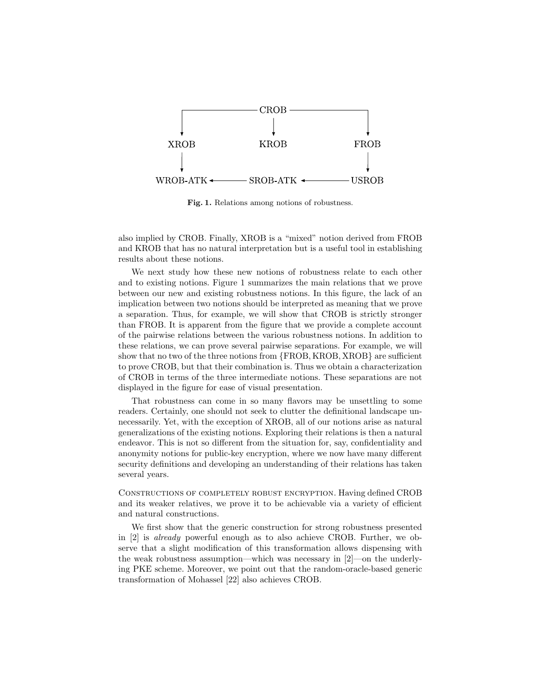

Fig. 1. Relations among notions of robustness.

also implied by CROB. Finally, XROB is a "mixed" notion derived from FROB and KROB that has no natural interpretation but is a useful tool in establishing results about these notions.

We next study how these new notions of robustness relate to each other and to existing notions. Figure 1 summarizes the main relations that we prove between our new and existing robustness notions. In this figure, the lack of an implication between two notions should be interpreted as meaning that we prove a separation. Thus, for example, we will show that CROB is strictly stronger than FROB. It is apparent from the figure that we provide a complete account of the pairwise relations between the various robustness notions. In addition to these relations, we can prove several pairwise separations. For example, we will show that no two of the three notions from {FROB, KROB, XROB} are sufficient to prove CROB, but that their combination is. Thus we obtain a characterization of CROB in terms of the three intermediate notions. These separations are not displayed in the figure for ease of visual presentation.

That robustness can come in so many flavors may be unsettling to some readers. Certainly, one should not seek to clutter the definitional landscape unnecessarily. Yet, with the exception of XROB, all of our notions arise as natural generalizations of the existing notions. Exploring their relations is then a natural endeavor. This is not so different from the situation for, say, confidentiality and anonymity notions for public-key encryption, where we now have many different security definitions and developing an understanding of their relations has taken several years.

Constructions of completely robust encryption. Having defined CROB and its weaker relatives, we prove it to be achievable via a variety of efficient and natural constructions.

We first show that the generic construction for strong robustness presented in [2] is already powerful enough as to also achieve CROB. Further, we observe that a slight modification of this transformation allows dispensing with the weak robustness assumption—which was necessary in [2]—on the underlying PKE scheme. Moreover, we point out that the random-oracle-based generic transformation of Mohassel [22] also achieves CROB.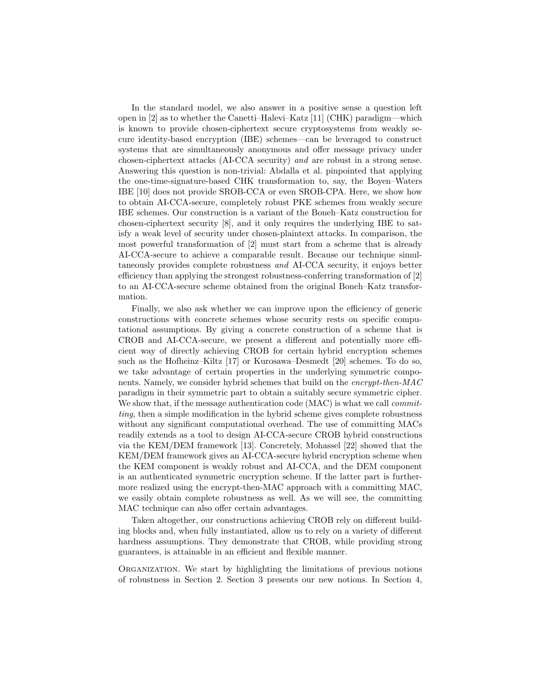In the standard model, we also answer in a positive sense a question left open in [2] as to whether the Canetti–Halevi–Katz [11] (CHK) paradigm—which is known to provide chosen-ciphertext secure cryptosystems from weakly secure identity-based encryption (IBE) schemes—can be leveraged to construct systems that are simultaneously anonymous and offer message privacy under chosen-ciphertext attacks (AI-CCA security) and are robust in a strong sense. Answering this question is non-trivial: Abdalla et al. pinpointed that applying the one-time-signature-based CHK transformation to, say, the Boyen–Waters IBE [10] does not provide SROB-CCA or even SROB-CPA. Here, we show how to obtain AI-CCA-secure, completely robust PKE schemes from weakly secure IBE schemes. Our construction is a variant of the Boneh–Katz construction for chosen-ciphertext security [8], and it only requires the underlying IBE to satisfy a weak level of security under chosen-plaintext attacks. In comparison, the most powerful transformation of [2] must start from a scheme that is already AI-CCA-secure to achieve a comparable result. Because our technique simultaneously provides complete robustness and AI-CCA security, it enjoys better efficiency than applying the strongest robustness-conferring transformation of [2] to an AI-CCA-secure scheme obtained from the original Boneh–Katz transformation.

Finally, we also ask whether we can improve upon the efficiency of generic constructions with concrete schemes whose security rests on specific computational assumptions. By giving a concrete construction of a scheme that is CROB and AI-CCA-secure, we present a different and potentially more efficient way of directly achieving CROB for certain hybrid encryption schemes such as the Hofheinz–Kiltz [17] or Kurosawa–Desmedt [20] schemes. To do so, we take advantage of certain properties in the underlying symmetric components. Namely, we consider hybrid schemes that build on the encrypt-then-MAC paradigm in their symmetric part to obtain a suitably secure symmetric cipher. We show that, if the message authentication code (MAC) is what we call *commit*ting, then a simple modification in the hybrid scheme gives complete robustness without any significant computational overhead. The use of committing MACs readily extends as a tool to design AI-CCA-secure CROB hybrid constructions via the KEM/DEM framework [13]. Concretely, Mohassel [22] showed that the KEM/DEM framework gives an AI-CCA-secure hybrid encryption scheme when the KEM component is weakly robust and AI-CCA, and the DEM component is an authenticated symmetric encryption scheme. If the latter part is furthermore realized using the encrypt-then-MAC approach with a committing MAC, we easily obtain complete robustness as well. As we will see, the committing MAC technique can also offer certain advantages.

Taken altogether, our constructions achieving CROB rely on different building blocks and, when fully instantiated, allow us to rely on a variety of different hardness assumptions. They demonstrate that CROB, while providing strong guarantees, is attainable in an efficient and flexible manner.

Organization. We start by highlighting the limitations of previous notions of robustness in Section 2. Section 3 presents our new notions. In Section 4,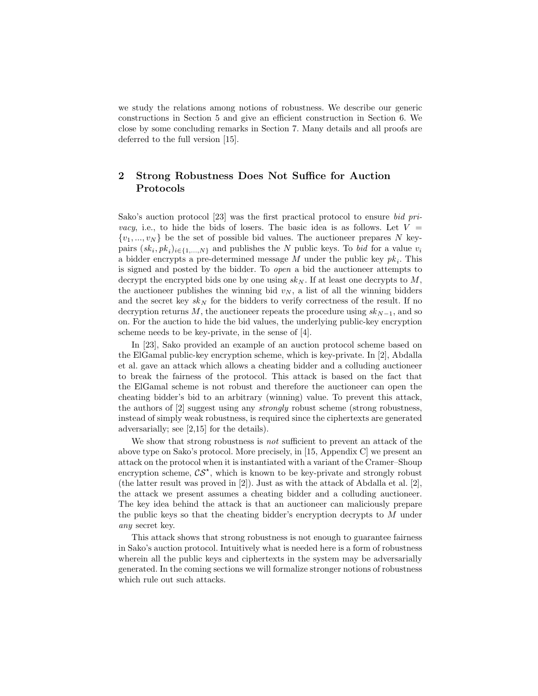we study the relations among notions of robustness. We describe our generic constructions in Section 5 and give an efficient construction in Section 6. We close by some concluding remarks in Section 7. Many details and all proofs are deferred to the full version [15].

# 2 Strong Robustness Does Not Suffice for Auction Protocols

Sako's auction protocol [23] was the first practical protocol to ensure bid pri*vacy*, i.e., to hide the bids of losers. The basic idea is as follows. Let  $V =$  $\{v_1, ..., v_N\}$  be the set of possible bid values. The auctioneer prepares N keypairs  $(sk_i, pk_i)_{i \in \{1,...,N\}}$  and publishes the N public keys. To bid for a value  $v_i$ a bidder encrypts a pre-determined message  $M$  under the public key  $pk_i$ . This is signed and posted by the bidder. To open a bid the auctioneer attempts to decrypt the encrypted bids one by one using  $sk_N$ . If at least one decrypts to M, the auctioneer publishes the winning bid  $v_N$ , a list of all the winning bidders and the secret key  $sk_N$  for the bidders to verify correctness of the result. If no decryption returns M, the auctioneer repeats the procedure using  $sk_{N-1}$ , and so on. For the auction to hide the bid values, the underlying public-key encryption scheme needs to be key-private, in the sense of [4].

In [23], Sako provided an example of an auction protocol scheme based on the ElGamal public-key encryption scheme, which is key-private. In [2], Abdalla et al. gave an attack which allows a cheating bidder and a colluding auctioneer to break the fairness of the protocol. This attack is based on the fact that the ElGamal scheme is not robust and therefore the auctioneer can open the cheating bidder's bid to an arbitrary (winning) value. To prevent this attack, the authors of [2] suggest using any strongly robust scheme (strong robustness, instead of simply weak robustness, is required since the ciphertexts are generated adversarially; see [2,15] for the details).

We show that strong robustness is *not* sufficient to prevent an attack of the above type on Sako's protocol. More precisely, in [15, Appendix C] we present an attack on the protocol when it is instantiated with a variant of the Cramer–Shoup encryption scheme,  $CS^*$ , which is known to be key-private and strongly robust (the latter result was proved in [2]). Just as with the attack of Abdalla et al. [2], the attack we present assumes a cheating bidder and a colluding auctioneer. The key idea behind the attack is that an auctioneer can maliciously prepare the public keys so that the cheating bidder's encryption decrypts to M under any secret key.

This attack shows that strong robustness is not enough to guarantee fairness in Sako's auction protocol. Intuitively what is needed here is a form of robustness wherein all the public keys and ciphertexts in the system may be adversarially generated. In the coming sections we will formalize stronger notions of robustness which rule out such attacks.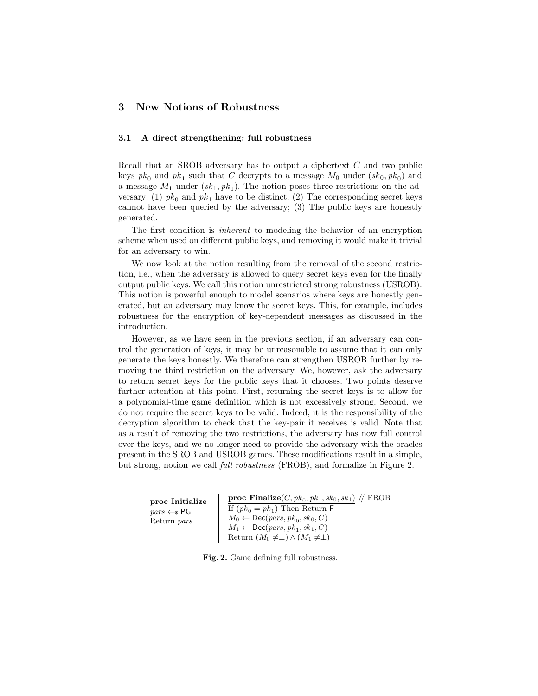# 3 New Notions of Robustness

#### 3.1 A direct strengthening: full robustness

Recall that an SROB adversary has to output a ciphertext  $C$  and two public keys  $pk_0$  and  $pk_1$  such that C decrypts to a message  $M_0$  under  $(sk_0, pk_0)$  and a message  $M_1$  under  $(sk_1, pk_1)$ . The notion poses three restrictions on the adversary: (1)  $pk_0$  and  $pk_1$  have to be distinct; (2) The corresponding secret keys cannot have been queried by the adversary; (3) The public keys are honestly generated.

The first condition is inherent to modeling the behavior of an encryption scheme when used on different public keys, and removing it would make it trivial for an adversary to win.

We now look at the notion resulting from the removal of the second restriction, i.e., when the adversary is allowed to query secret keys even for the finally output public keys. We call this notion unrestricted strong robustness (USROB). This notion is powerful enough to model scenarios where keys are honestly generated, but an adversary may know the secret keys. This, for example, includes robustness for the encryption of key-dependent messages as discussed in the introduction.

However, as we have seen in the previous section, if an adversary can control the generation of keys, it may be unreasonable to assume that it can only generate the keys honestly. We therefore can strengthen USROB further by removing the third restriction on the adversary. We, however, ask the adversary to return secret keys for the public keys that it chooses. Two points deserve further attention at this point. First, returning the secret keys is to allow for a polynomial-time game definition which is not excessively strong. Second, we do not require the secret keys to be valid. Indeed, it is the responsibility of the decryption algorithm to check that the key-pair it receives is valid. Note that as a result of removing the two restrictions, the adversary has now full control over the keys, and we no longer need to provide the adversary with the oracles present in the SROB and USROB games. These modifications result in a simple, but strong, notion we call full robustness (FROB), and formalize in Figure 2.

| proc Initialize<br>$pars \leftarrow s PG$<br>Return pars | <b>proc Finalize</b> $(C, pk_0, pk_1, sk_0, sk_1)$ // FROB<br>If $(pk_0 = pk_1)$ Then Return F<br>$M_0 \leftarrow \mathsf{Dec}(\textit{pars}, \textit{pk}_0, \textit{sk}_0, C)$<br>$M_1 \leftarrow \textsf{Dec}(\textit{pars}, \textit{pk}_1, \textit{sk}_1, C)$<br>Return $(M_0 \neq \perp) \wedge (M_1 \neq \perp)$ |
|----------------------------------------------------------|-----------------------------------------------------------------------------------------------------------------------------------------------------------------------------------------------------------------------------------------------------------------------------------------------------------------------|
|----------------------------------------------------------|-----------------------------------------------------------------------------------------------------------------------------------------------------------------------------------------------------------------------------------------------------------------------------------------------------------------------|

Fig. 2. Game defining full robustness.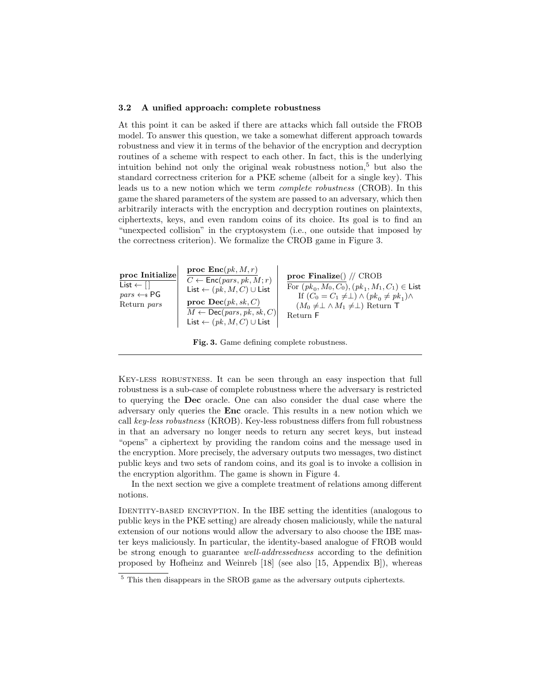#### 3.2 A unified approach: complete robustness

At this point it can be asked if there are attacks which fall outside the FROB model. To answer this question, we take a somewhat different approach towards robustness and view it in terms of the behavior of the encryption and decryption routines of a scheme with respect to each other. In fact, this is the underlying intuition behind not only the original weak robustness notion,<sup>5</sup> but also the standard correctness criterion for a PKE scheme (albeit for a single key). This leads us to a new notion which we term complete robustness (CROB). In this game the shared parameters of the system are passed to an adversary, which then arbitrarily interacts with the encryption and decryption routines on plaintexts, ciphertexts, keys, and even random coins of its choice. Its goal is to find an "unexpected collision" in the cryptosystem (i.e., one outside that imposed by the correctness criterion). We formalize the CROB game in Figure 3.



Fig. 3. Game defining complete robustness.

Key-less robustness. It can be seen through an easy inspection that full robustness is a sub-case of complete robustness where the adversary is restricted to querying the Dec oracle. One can also consider the dual case where the adversary only queries the Enc oracle. This results in a new notion which we call key-less robustness (KROB). Key-less robustness differs from full robustness in that an adversary no longer needs to return any secret keys, but instead "opens" a ciphertext by providing the random coins and the message used in the encryption. More precisely, the adversary outputs two messages, two distinct public keys and two sets of random coins, and its goal is to invoke a collision in the encryption algorithm. The game is shown in Figure 4.

In the next section we give a complete treatment of relations among different notions.

IDENTITY-BASED ENCRYPTION. In the IBE setting the identities (analogous to public keys in the PKE setting) are already chosen maliciously, while the natural extension of our notions would allow the adversary to also choose the IBE master keys maliciously. In particular, the identity-based analogue of FROB would be strong enough to guarantee well-addressedness according to the definition proposed by Hofheinz and Weinreb  $|18|$  (see also [15, Appendix B]), whereas

<sup>&</sup>lt;sup>5</sup> This then disappears in the SROB game as the adversary outputs ciphertexts.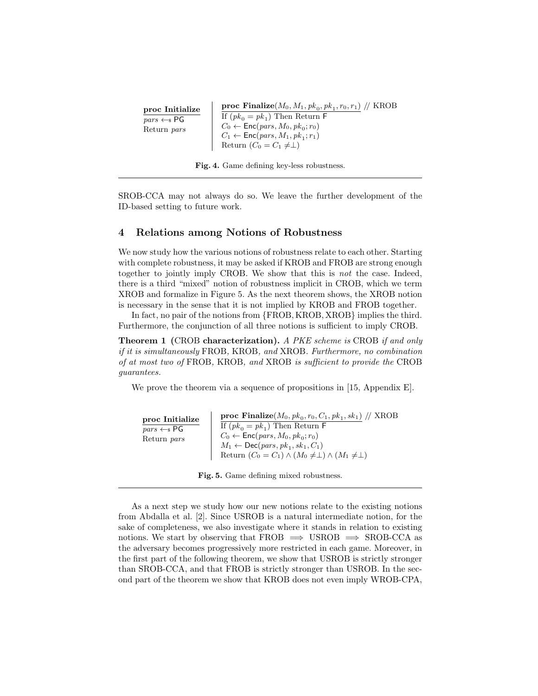```
proc Initialize
pars \leftarrow s PGReturn pars
                                    \mathbf{proc}\ \mathbf{Finalize}(M_0,M_1,pk_0,pk_1,r_0,r_1)\not\quad\mathbf{KROB}}If (pk_0 = pk_1) Then Return F
                                    C_0 \leftarrow \mathsf{Enc}(\mathit{pars}, M_0, \mathit{pk}_0; r_0)C_1 \leftarrow \mathsf{Enc}(\mathit{pars}, M_1, \mathit{pk}_1; r_1)Return (C_0 = C_1 \neq \perp)
```


SROB-CCA may not always do so. We leave the further development of the ID-based setting to future work.

## 4 Relations among Notions of Robustness

We now study how the various notions of robustness relate to each other. Starting with complete robustness, it may be asked if KROB and FROB are strong enough together to jointly imply CROB. We show that this is not the case. Indeed, there is a third "mixed" notion of robustness implicit in CROB, which we term XROB and formalize in Figure 5. As the next theorem shows, the XROB notion is necessary in the sense that it is not implied by KROB and FROB together.

In fact, no pair of the notions from {FROB, KROB, XROB} implies the third. Furthermore, the conjunction of all three notions is sufficient to imply CROB.

**Theorem 1** (CROB characterization). A PKE scheme is CROB if and only if it is simultaneously FROB, KROB, and XROB. Furthermore, no combination of at most two of FROB, KROB, and XROB is sufficient to provide the CROB guarantees.

We prove the theorem via a sequence of propositions in [15, Appendix E].

| proc Initialize<br>$pars \leftarrow s PG$<br>Return pars | <b>proc Finalize</b> $(M_0, pk_0, r_0, C_1, pk_1, sk_1)$ // XROB      |
|----------------------------------------------------------|-----------------------------------------------------------------------|
|                                                          | If $(pk_0 = pk_1)$ Then Return F                                      |
|                                                          | $C_0 \leftarrow \mathsf{Enc}(\mathit{pars}, M_0, \mathit{pk}_0; r_0)$ |
|                                                          | $M_1 \leftarrow \text{Dec}(pars, pk_1, sk_1, C_1)$                    |
|                                                          | Return $(C_0 = C_1) \wedge (M_0 \neq \perp) \wedge (M_1 \neq \perp)$  |

Fig. 5. Game defining mixed robustness.

As a next step we study how our new notions relate to the existing notions from Abdalla et al. [2]. Since USROB is a natural intermediate notion, for the sake of completeness, we also investigate where it stands in relation to existing notions. We start by observing that FROB  $\implies$  USROB  $\implies$  SROB-CCA as the adversary becomes progressively more restricted in each game. Moreover, in the first part of the following theorem, we show that USROB is strictly stronger than SROB-CCA, and that FROB is strictly stronger than USROB. In the second part of the theorem we show that KROB does not even imply WROB-CPA,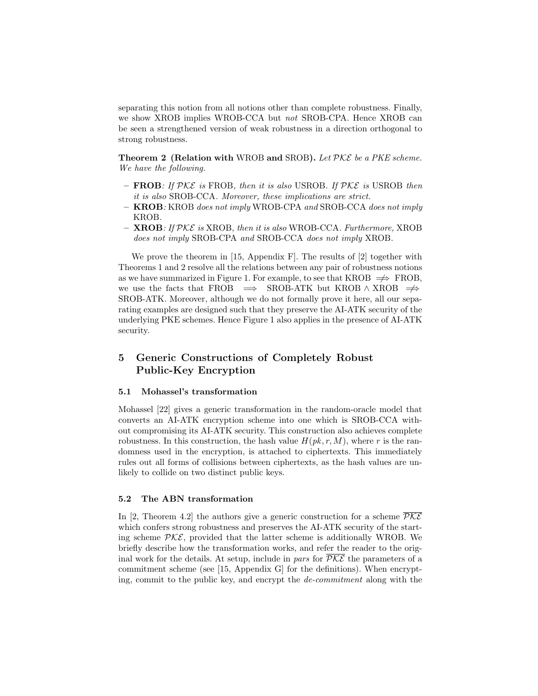separating this notion from all notions other than complete robustness. Finally, we show XROB implies WROB-CCA but not SROB-CPA. Hence XROB can be seen a strengthened version of weak robustness in a direction orthogonal to strong robustness.

**Theorem 2 (Relation with WROB and SROB).** Let  $PKE$  be a PKE scheme. We have the following.

- **FROB:** If  $PKE$  is FROB, then it is also USROB. If  $PKE$  is USROB then it is also SROB-CCA. Moreover, these implications are strict.
- KROB: KROB does not imply WROB-CPA and SROB-CCA does not imply KROB.
- $-$  **XROB**: If  $\mathcal{PKE}$  is XROB, then it is also WROB-CCA. Furthermore, XROB does not imply SROB-CPA and SROB-CCA does not imply XROB.

We prove the theorem in [15, Appendix F]. The results of [2] together with Theorems 1 and 2 resolve all the relations between any pair of robustness notions as we have summarized in Figure 1. For example, to see that KROB  $\Rightarrow$  FROB, we use the facts that FROB  $\implies$  SROB-ATK but KROB ∧ XROB  $\implies$ SROB-ATK. Moreover, although we do not formally prove it here, all our separating examples are designed such that they preserve the AI-ATK security of the underlying PKE schemes. Hence Figure 1 also applies in the presence of AI-ATK security.

# 5 Generic Constructions of Completely Robust Public-Key Encryption

### 5.1 Mohassel's transformation

Mohassel [22] gives a generic transformation in the random-oracle model that converts an AI-ATK encryption scheme into one which is SROB-CCA without compromising its AI-ATK security. This construction also achieves complete robustness. In this construction, the hash value  $H(pk, r, M)$ , where r is the randomness used in the encryption, is attached to ciphertexts. This immediately rules out all forms of collisions between ciphertexts, as the hash values are unlikely to collide on two distinct public keys.

### 5.2 The ABN transformation

In [2, Theorem 4.2] the authors give a generic construction for a scheme  $\overline{\mathcal{PKE}}$ which confers strong robustness and preserves the AI-ATK security of the starting scheme  $\mathcal{PKE}$ , provided that the latter scheme is additionally WROB. We briefly describe how the transformation works, and refer the reader to the original work for the details. At setup, include in pars for  $\overline{PKE}$  the parameters of a commitment scheme (see [15, Appendix G] for the definitions). When encrypting, commit to the public key, and encrypt the de-commitment along with the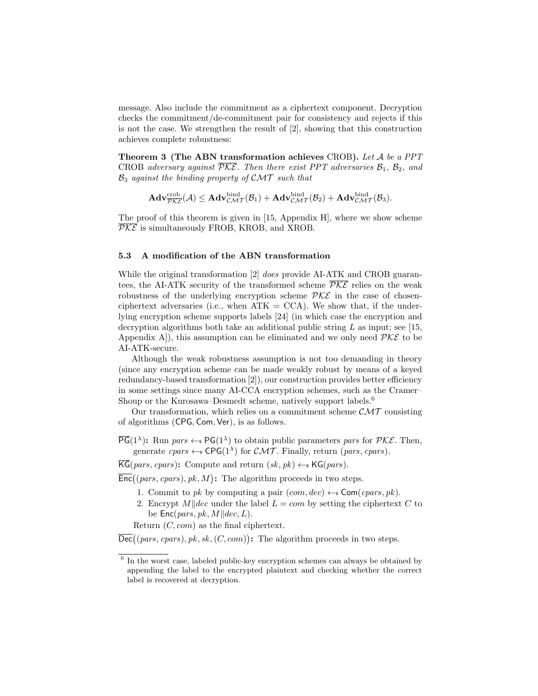message. Also include the commitment as a ciphertext component. Decryption checks the commitment/de-commitment pair for consistency and rejects if this is not the case. We strengthen the result of [2], showing that this construction achieves complete robustness:

Theorem 3 (The ABN transformation achieves CROB). Let  $A$  be a PPT CROB adversary against  $\overline{PKE}$ . Then there exist PPT adversaries  $\mathcal{B}_1$ ,  $\mathcal{B}_2$ , and  $B_3$  against the binding property of CMT such that

$$
\mathbf{Adv}_{\mathcal{PKE}}^{\text{crob}}(\mathcal{A})\leq \mathbf{Adv}_{\mathcal{CMT}}^{\text{bind}}(\mathcal{B}_1)+\mathbf{Adv}_{\mathcal{CMT}}^{\text{bind}}(\mathcal{B}_2)+\mathbf{Adv}_{\mathcal{CMT}}^{\text{bind}}(\mathcal{B}_3).
$$

The proof of this theorem is given in [15, Appendix H], where we show scheme  $\overline{\mathcal{PKE}}$  is simultaneously FROB, KROB, and XROB.

### 5.3 A modification of the ABN transformation

While the original transformation [2] does provide AI-ATK and CROB guarantees, the AI-ATK security of the transformed scheme  $\overline{\mathcal{PKE}}$  relies on the weak robustness of the underlying encryption scheme  $PKE$  in the case of chosenciphertext adversaries (i.e., when  $ATK = CCA$ ). We show that, if the underlying encryption scheme supports labels [24] (in which case the encryption and decryption algorithms both take an additional public string  $L$  as input; see [15, Appendix A]), this assumption can be eliminated and we only need  $\mathcal{PKE}$  to be AI-ATK-secure.

Although the weak robustness assumption is not too demanding in theory (since any encryption scheme can be made weakly robust by means of a keyed redundancy-based transformation [2]), our construction provides better efficiency in some settings since many AI-CCA encryption schemes, such as the Cramer– Shoup or the Kurosawa–Desmedt scheme, natively support labels.<sup>6</sup>

Our transformation, which relies on a commitment scheme  $\mathcal{CMT}$  consisting of algorithms (CPG, Com, Ver), is as follows.

 $\overline{PG}(1^{\lambda})$ : Run pars  $\leftarrow s PG(1^{\lambda})$  to obtain public parameters pars for  $\mathcal{PKE}$ . Then, generate cpars  $\leftarrow$  CPG(1<sup> $\lambda$ </sup>) for CMT. Finally, return (pars, cpars).

 $\overline{\mathsf{KG}}(\textit{pars}, \textit{cparse})$ : Compute and return  $(\textit{sk}, \textit{pk}) \leftarrow \mathsf{s} \mathsf{KG}(\textit{pars})$ .

 $\overline{\text{Enc}}((pars, \text{cparse}), \text{pk}, M)$ : The algorithm proceeds in two steps.

- 1. Commit to pk by computing a pair  $(com, dec) \leftarrow s$  Com $(cparse, pk)$ .
- 2. Encrypt  $M \parallel dec$  under the label  $L = com$  by setting the ciphertext C to be  $Enc(pars, pk, M||dec, L)$ .

Return  $(C, com)$  as the final ciphertext.

 $\overline{\text{Dec}}((pars, cpars), pk, sk, (C, com))$ : The algorithm proceeds in two steps.

<sup>&</sup>lt;sup>6</sup> In the worst case, labeled public-key encryption schemes can always be obtained by appending the label to the encrypted plaintext and checking whether the correct label is recovered at decryption.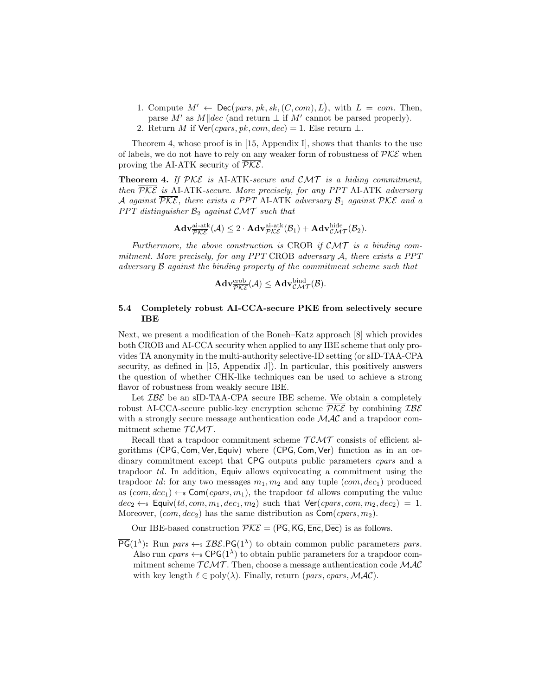- 1. Compute  $M' \leftarrow \mathsf{Dec}(\text{pars}, \text{pk}, \text{sk}, (C, com), L),$  with  $L = com$ . Then, parse M' as  $M \parallel dec$  (and return  $\perp$  if M' cannot be parsed properly).
- 2. Return M if  $Ver(cparse, pk, com, dec) = 1$ . Else return ⊥.

Theorem 4, whose proof is in [15, Appendix I], shows that thanks to the use of labels, we do not have to rely on any weaker form of robustness of  $\mathcal{PKE}$  when proving the AI-ATK security of  $\overline{PKE}$ .

**Theorem 4.** If  $\mathcal{PKE}$  is AI-ATK-secure and  $\mathcal{CMT}$  is a hiding commitment, then  $\overline{\mathcal{PKE}}$  is AI-ATK-secure. More precisely, for any PPT AI-ATK adversary A against  $\overline{\mathcal{PKE}}$ , there exists a PPT AI-ATK adversary  $\mathcal{B}_1$  against  $\mathcal{PKE}$  and a PPT distinguisher  $\mathcal{B}_2$  against CMT such that

$$
\mathbf{Adv}_{\overline{\mathcal{PKE}}}^{\text{ai-atk}}(\mathcal{A}) \leq 2 \cdot \mathbf{Adv}_{\mathcal{PKE}}^{\text{ai-atk}}(\mathcal{B}_1) + \mathbf{Adv}_{\mathcal{CMT}}^{\text{hide}}(\mathcal{B}_2).
$$

Furthermore, the above construction is CROB if  $\mathcal{CMT}$  is a binding commitment. More precisely, for any PPT CROB adversary A, there exists a PPT adversary B against the binding property of the commitment scheme such that

$$
\mathbf{Adv}_{\mathcal{PKE}}^{\operatorname{crob}}(\mathcal{A}) \leq \mathbf{Adv}_{\mathcal{CMT}}^{\operatorname{bind}}(\mathcal{B}).
$$

### 5.4 Completely robust AI-CCA-secure PKE from selectively secure IBE

Next, we present a modification of the Boneh–Katz approach [8] which provides both CROB and AI-CCA security when applied to any IBE scheme that only provides TA anonymity in the multi-authority selective-ID setting (or sID-TAA-CPA security, as defined in [15, Appendix J]). In particular, this positively answers the question of whether CHK-like techniques can be used to achieve a strong flavor of robustness from weakly secure IBE.

Let  $\mathcal{IBE}$  be an sID-TAA-CPA secure IBE scheme. We obtain a completely robust AI-CCA-secure public-key encryption scheme  $\overline{PKE}$  by combining  $\overline{LBE}$ with a strongly secure message authentication code  $\mathcal{MAC}$  and a trapdoor commitment scheme  $TCMT$ .

Recall that a trapdoor commitment scheme  $TCMT$  consists of efficient algorithms (CPG, Com, Ver, Equiv) where (CPG, Com, Ver) function as in an ordinary commitment except that CPG outputs public parameters cpars and a trapdoor td. In addition, Equiv allows equivocating a commitment using the trapdoor td: for any two messages  $m_1, m_2$  and any tuple (com, dec<sub>1</sub>) produced as  $(com, dec_1) \leftarrow$  Com $(cparse, m_1)$ , the trapdoor td allows computing the value  $dec_2 \leftarrow s$  Equiv(td, com,  $m_1, dec_1, m_2$ ) such that Ver(cpars, com,  $m_2, dec_2$ ) = 1. Moreover,  $(com, dec_2)$  has the same distribution as  $Com(cparse, m_2)$ .

Our IBE-based construction  $\overline{\mathcal{PKE}} = (\overline{\mathsf{PG}}, \overline{\mathsf{KG}}, \overline{\mathsf{Enc}}, \overline{\mathsf{Dec}})$  is as follows.

 $\overline{PG}(1^{\lambda})$ : Run pars  $\leftarrow$  *IBE*.PG(1<sup> $\lambda$ </sup>) to obtain common public parameters pars. Also run cpars  $\leftarrow s$  CPG(1<sup> $\lambda$ </sup>) to obtain public parameters for a trapdoor commitment scheme  $TCMT$ . Then, choose a message authentication code  $MAC$ with key length  $\ell \in \text{poly}(\lambda)$ . Finally, return (*pars, cpars, MAC*).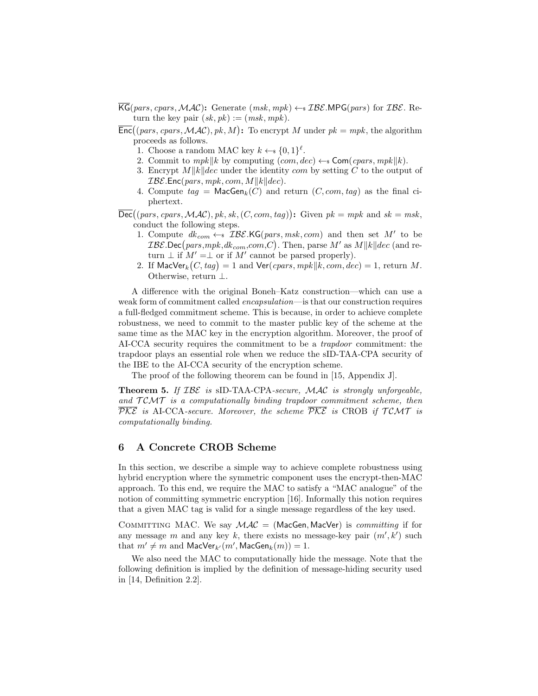- $\mathsf{KG}(pars, cpars, \mathcal{MAC})$ : Generate  $(msk, mpk) \leftarrow \mathsf{SZBE}$ .MPG(pars) for  $\mathcal{LBE}$ . Return the key pair  $(sk, pk) := (msk, mpk)$ .
- $\overline{\text{Enc}}((pars, \text{cparse}, \mathcal{MAC}), pk, M)$ : To encrypt M under  $pk = mpk$ , the algorithm proceeds as follows.
	- 1. Choose a random MAC key  $k \leftarrow s \{0,1\}^{\ell}$ .
	- 2. Commit to  $mpk||k$  by computing  $(com, dec) \leftarrow s$  Com(cpars,  $mpk||k$ ).
	- 3. Encrypt  $M||k||$  decunder the identity com by setting C to the output of  $\mathcal{IBE}$ . Enc(pars, mpk, com,  $M\|k\|$ dec).
	- 4. Compute  $tag = MacGen_k(C)$  and return  $(C, com, tag)$  as the final ciphertext.
- $\overline{\mathsf{Dec}}((pars, cpars, \mathcal{MAC}), pk, sk, (C, com, tag))$ : Given  $pk = mpk$  and  $sk = msk$ , conduct the following steps.
	- 1. Compute  $dk_{com} \leftarrow s \mathcal{IBE}.\mathsf{KG}(pars, msk, com)$  and then set M' to be  $\mathcal{IBE}$ .Dec $\left( \textit{pars}, \textit{mpk}, \textit{dk}_{com}, \textit{com}, C \right)$ . Then, parse  $M'$  as  $M \| k \| \textit{dec} \left( \text{and re-} \right)$ turn  $\perp$  if  $M' = \perp$  or if M' cannot be parsed properly).
	- 2. If  $\mathsf{MacVer}_k(C, tag) = 1$  and  $\mathsf{Ver}(cparse, mpk || k, com, dec) = 1$ , return M. Otherwise, return ⊥.

A difference with the original Boneh–Katz construction—which can use a weak form of commitment called encapsulation—is that our construction requires a full-fledged commitment scheme. This is because, in order to achieve complete robustness, we need to commit to the master public key of the scheme at the same time as the MAC key in the encryption algorithm. Moreover, the proof of AI-CCA security requires the commitment to be a trapdoor commitment: the trapdoor plays an essential role when we reduce the sID-TAA-CPA security of the IBE to the AI-CCA security of the encryption scheme.

The proof of the following theorem can be found in [15, Appendix J].

Theorem 5. If  $IBE$  is sID-TAA-CPA-secure, MAC is strongly unforgeable, and  $TCMT$  is a computationally binding trapdoor commitment scheme, then  $\overline{\mathcal{PKE}}$  is AI-CCA-secure. Moreover, the scheme  $\overline{\mathcal{PKE}}$  is CROB if  $\mathcal{TCMT}$  is computationally binding.

### 6 A Concrete CROB Scheme

In this section, we describe a simple way to achieve complete robustness using hybrid encryption where the symmetric component uses the encrypt-then-MAC approach. To this end, we require the MAC to satisfy a "MAC analogue" of the notion of committing symmetric encryption [16]. Informally this notion requires that a given MAC tag is valid for a single message regardless of the key used.

COMMITTING MAC. We say  $\mathcal{MAC} = (MacGen, MacVer)$  is committing if for any message m and any key k, there exists no message-key pair  $(m', k')$  such that  $m' \neq m$  and MacVer<sub>k'</sub> $(m', \text{MacGen}_k(m)) = 1$ .

We also need the MAC to computationally hide the message. Note that the following definition is implied by the definition of message-hiding security used in [14, Definition 2.2].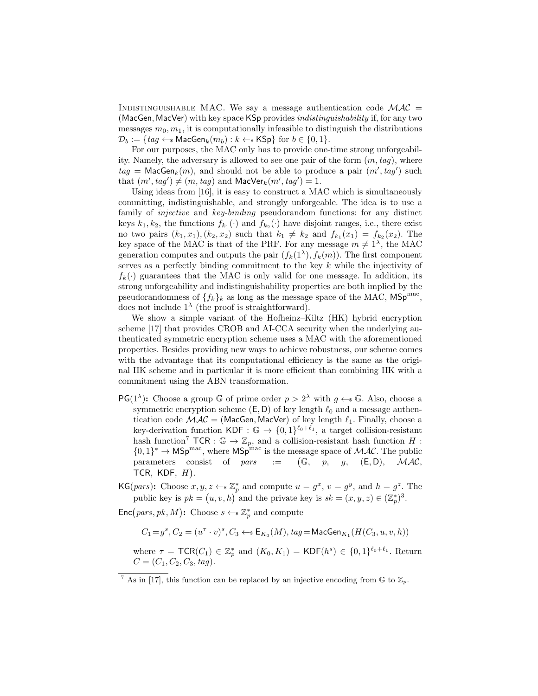INDISTINGUISHABLE MAC. We say a message authentication code  $\mathcal{MAC}$ (MacGen, MacVer) with key space KSp provides *indistinguishability* if, for any two messages  $m_0, m_1$ , it is computationally infeasible to distinguish the distributions  $\mathcal{D}_b := \{tag \leftarrow_k Map, (m_b) : k \leftarrow_k KSp\}$  for  $b \in \{0, 1\}.$ 

For our purposes, the MAC only has to provide one-time strong unforgeability. Namely, the adversary is allowed to see one pair of the form  $(m, tag)$ , where  $tag = MacGen_k(m)$ , and should not be able to produce a pair  $(m', tag')$  such that  $(m', tag') \neq (m, tag)$  and  $\textsf{MacVer}_k(m', tag') = 1$ .

Using ideas from [16], it is easy to construct a MAC which is simultaneously committing, indistinguishable, and strongly unforgeable. The idea is to use a family of injective and key-binding pseudorandom functions: for any distinct keys  $k_1, k_2$ , the functions  $f_{k_1}(\cdot)$  and  $f_{k_2}(\cdot)$  have disjoint ranges, i.e., there exist no two pairs  $(k_1, x_1), (k_2, x_2)$  such that  $k_1 \neq k_2$  and  $f_{k_1}(x_1) = f_{k_2}(x_2)$ . The key space of the MAC is that of the PRF. For any message  $m \neq 1^{\lambda}$ , the MAC generation computes and outputs the pair  $(f_k(1^{\lambda}), f_k(m))$ . The first component serves as a perfectly binding commitment to the key  $k$  while the injectivity of  $f_k(\cdot)$  guarantees that the MAC is only valid for one message. In addition, its strong unforgeability and indistinguishability properties are both implied by the pseudorandomness of  $\{f_k\}_k$  as long as the message space of the MAC,  $\mathsf{MSp}^{\text{mac}}$ , does not include  $1^{\lambda}$  (the proof is straightforward).

We show a simple variant of the Hofheinz–Kiltz (HK) hybrid encryption scheme [17] that provides CROB and AI-CCA security when the underlying authenticated symmetric encryption scheme uses a MAC with the aforementioned properties. Besides providing new ways to achieve robustness, our scheme comes with the advantage that its computational efficiency is the same as the original HK scheme and in particular it is more efficient than combining HK with a commitment using the ABN transformation.

- **PG**(1<sup> $\lambda$ </sup>): Choose a group G of prime order  $p > 2^{\lambda}$  with  $g \leftarrow s$  G. Also, choose a symmetric encryption scheme  $(E, D)$  of key length  $\ell_0$  and a message authentication code  $\mathcal{MAC} = (MacGen, MacVer)$  of key length  $\ell_1$ . Finally, choose a key-derivation function  $KDF : \mathbb{G} \to \{0,1\}^{\ell_0+\ell_1}$ , a target collision-resistant hash function<sup>7</sup>  $\mathsf{TCR} : \mathbb{G} \to \mathbb{Z}_p$ , and a collision-resistant hash function H :  $\{0,1\}^* \to \mathsf{MSp}^{\text{mac}}$ , where  $\mathsf{MSp}^{\text{mac}}$  is the message space of  $\mathcal{MAC}$ . The public parameters consist of pars :=  $(\mathbb{G}, p, q, (\mathsf{E}, \mathsf{D}), \mathcal{MAC},$ TCR, KDF,  $H$ ).
- KG(*pars*): Choose  $x, y, z \leftarrow s \mathbb{Z}_p^*$  and compute  $u = g^x$ ,  $v = g^y$ , and  $h = g^z$ . The public key is  $pk = (u, v, h)$  and the private key is  $sk = (x, y, z) \in (\mathbb{Z}_p^*)^3$ .

 $\mathsf{Enc}(\textit{pars}, \textit{pk}, M)$ : Choose  $s \leftarrow s \mathbb{Z}_p^*$  and compute

$$
C_1\!=\!g^s, C_2=(u^\tau\cdot v)^s, C_3 \leftarrow \mathsf{s}~\mathsf{E}_{K_0}(M), tag\!=\!\mathsf{MacGen}_{K_1}(H(C_3,u,v,h))
$$

where  $\tau = \textsf{TCR}(C_1) \in \mathbb{Z}_p^*$  and  $(K_0, K_1) = \textsf{KDF}(h^s) \in \{0, 1\}^{\ell_0 + \ell_1}$ . Return  $C = (C_1, C_2, C_3, tag).$ 

<sup>&</sup>lt;sup>7</sup> As in [17], this function can be replaced by an injective encoding from  $\mathbb{G}$  to  $\mathbb{Z}_p$ .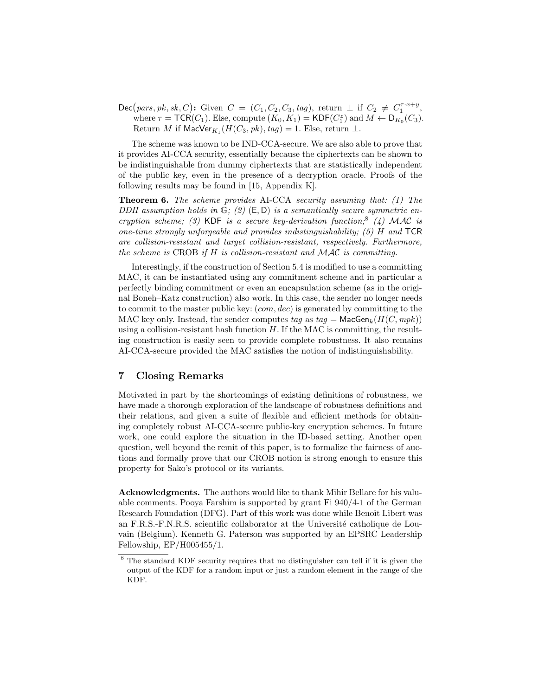Dec(pars, pk, sk, C): Given  $C = (C_1, C_2, C_3, tag)$ , return  $\perp$  if  $C_2 \neq C_1^{\tau \cdot x + y}$ , where  $\tau = \text{TCR}(C_1)$ . Else, compute  $(K_0, K_1) = \text{KDF}(C_1^z)$  and  $M \leftarrow D_{K_0}(C_3)$ . Return M if  $\mathsf{MacVer}_{K_1}(H(C_3, pk), tag) = 1$ . Else, return  $\perp$ .

The scheme was known to be IND-CCA-secure. We are also able to prove that it provides AI-CCA security, essentially because the ciphertexts can be shown to be indistinguishable from dummy ciphertexts that are statistically independent of the public key, even in the presence of a decryption oracle. Proofs of the following results may be found in [15, Appendix K].

Theorem 6. The scheme provides AI-CCA security assuming that: (1) The DDH assumption holds in  $\mathbb{G}$ ; (2) (E, D) is a semantically secure symmetric encryption scheme; (3) KDF is a secure key-derivation function,<sup>8</sup> (4) MAC is one-time strongly unforgeable and provides indistinguishability; (5) H and TCR are collision-resistant and target collision-resistant, respectively. Furthermore, the scheme is CROB if  $H$  is collision-resistant and  $\mathcal{MAC}$  is committing.

Interestingly, if the construction of Section 5.4 is modified to use a committing MAC, it can be instantiated using any commitment scheme and in particular a perfectly binding commitment or even an encapsulation scheme (as in the original Boneh–Katz construction) also work. In this case, the sender no longer needs to commit to the master public key:  $(com, dec)$  is generated by committing to the MAC key only. Instead, the sender computes tag as  $tag = MacGen_k(H(C, mpk))$ using a collision-resistant hash function  $H$ . If the MAC is committing, the resulting construction is easily seen to provide complete robustness. It also remains AI-CCA-secure provided the MAC satisfies the notion of indistinguishability.

## 7 Closing Remarks

Motivated in part by the shortcomings of existing definitions of robustness, we have made a thorough exploration of the landscape of robustness definitions and their relations, and given a suite of flexible and efficient methods for obtaining completely robust AI-CCA-secure public-key encryption schemes. In future work, one could explore the situation in the ID-based setting. Another open question, well beyond the remit of this paper, is to formalize the fairness of auctions and formally prove that our CROB notion is strong enough to ensure this property for Sako's protocol or its variants.

Acknowledgments. The authors would like to thank Mihir Bellare for his valuable comments. Pooya Farshim is supported by grant Fi 940/4-1 of the German Research Foundation (DFG). Part of this work was done while Benoît Libert was an F.R.S.-F.N.R.S. scientific collaborator at the Université catholique de Louvain (Belgium). Kenneth G. Paterson was supported by an EPSRC Leadership Fellowship, EP/H005455/1.

<sup>8</sup> The standard KDF security requires that no distinguisher can tell if it is given the output of the KDF for a random input or just a random element in the range of the KDF.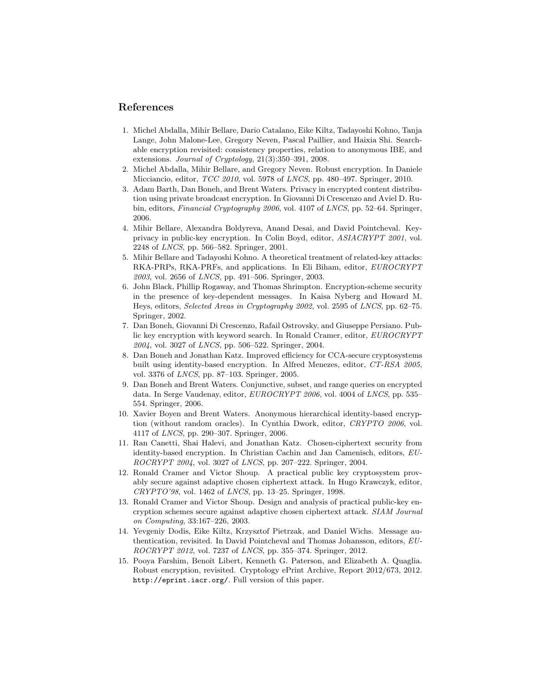## References

- 1. Michel Abdalla, Mihir Bellare, Dario Catalano, Eike Kiltz, Tadayoshi Kohno, Tanja Lange, John Malone-Lee, Gregory Neven, Pascal Paillier, and Haixia Shi. Searchable encryption revisited: consistency properties, relation to anonymous IBE, and extensions. Journal of Cryptology, 21(3):350–391, 2008.
- 2. Michel Abdalla, Mihir Bellare, and Gregory Neven. Robust encryption. In Daniele Micciancio, editor, TCC 2010, vol. 5978 of LNCS, pp. 480–497. Springer, 2010.
- 3. Adam Barth, Dan Boneh, and Brent Waters. Privacy in encrypted content distribution using private broadcast encryption. In Giovanni Di Crescenzo and Aviel D. Rubin, editors, Financial Cryptography 2006, vol. 4107 of LNCS, pp. 52–64. Springer, 2006.
- 4. Mihir Bellare, Alexandra Boldyreva, Anand Desai, and David Pointcheval. Keyprivacy in public-key encryption. In Colin Boyd, editor, ASIACRYPT 2001, vol. 2248 of LNCS, pp. 566–582. Springer, 2001.
- 5. Mihir Bellare and Tadayoshi Kohno. A theoretical treatment of related-key attacks: RKA-PRPs, RKA-PRFs, and applications. In Eli Biham, editor, EUROCRYPT 2003, vol. 2656 of LNCS, pp. 491–506. Springer, 2003.
- 6. John Black, Phillip Rogaway, and Thomas Shrimpton. Encryption-scheme security in the presence of key-dependent messages. In Kaisa Nyberg and Howard M. Heys, editors, Selected Areas in Cryptography 2002, vol. 2595 of LNCS, pp. 62–75. Springer, 2002.
- 7. Dan Boneh, Giovanni Di Crescenzo, Rafail Ostrovsky, and Giuseppe Persiano. Public key encryption with keyword search. In Ronald Cramer, editor, EUROCRYPT 2004, vol. 3027 of LNCS, pp. 506–522. Springer, 2004.
- 8. Dan Boneh and Jonathan Katz. Improved efficiency for CCA-secure cryptosystems built using identity-based encryption. In Alfred Menezes, editor, CT-RSA 2005, vol. 3376 of LNCS, pp. 87–103. Springer, 2005.
- 9. Dan Boneh and Brent Waters. Conjunctive, subset, and range queries on encrypted data. In Serge Vaudenay, editor, EUROCRYPT 2006, vol. 4004 of LNCS, pp. 535– 554. Springer, 2006.
- 10. Xavier Boyen and Brent Waters. Anonymous hierarchical identity-based encryption (without random oracles). In Cynthia Dwork, editor, CRYPTO 2006, vol. 4117 of LNCS, pp. 290–307. Springer, 2006.
- 11. Ran Canetti, Shai Halevi, and Jonathan Katz. Chosen-ciphertext security from identity-based encryption. In Christian Cachin and Jan Camenisch, editors, EU-ROCRYPT 2004, vol. 3027 of LNCS, pp. 207–222. Springer, 2004.
- 12. Ronald Cramer and Victor Shoup. A practical public key cryptosystem provably secure against adaptive chosen ciphertext attack. In Hugo Krawczyk, editor, CRYPTO'98, vol. 1462 of LNCS, pp. 13–25. Springer, 1998.
- 13. Ronald Cramer and Victor Shoup. Design and analysis of practical public-key encryption schemes secure against adaptive chosen ciphertext attack. SIAM Journal on Computing, 33:167–226, 2003.
- 14. Yevgeniy Dodis, Eike Kiltz, Krzysztof Pietrzak, and Daniel Wichs. Message authentication, revisited. In David Pointcheval and Thomas Johansson, editors, EU-ROCRYPT 2012, vol. 7237 of LNCS, pp. 355–374. Springer, 2012.
- 15. Pooya Farshim, Benoît Libert, Kenneth G. Paterson, and Elizabeth A. Quaglia. Robust encryption, revisited. Cryptology ePrint Archive, Report 2012/673, 2012. http://eprint.iacr.org/. Full version of this paper.